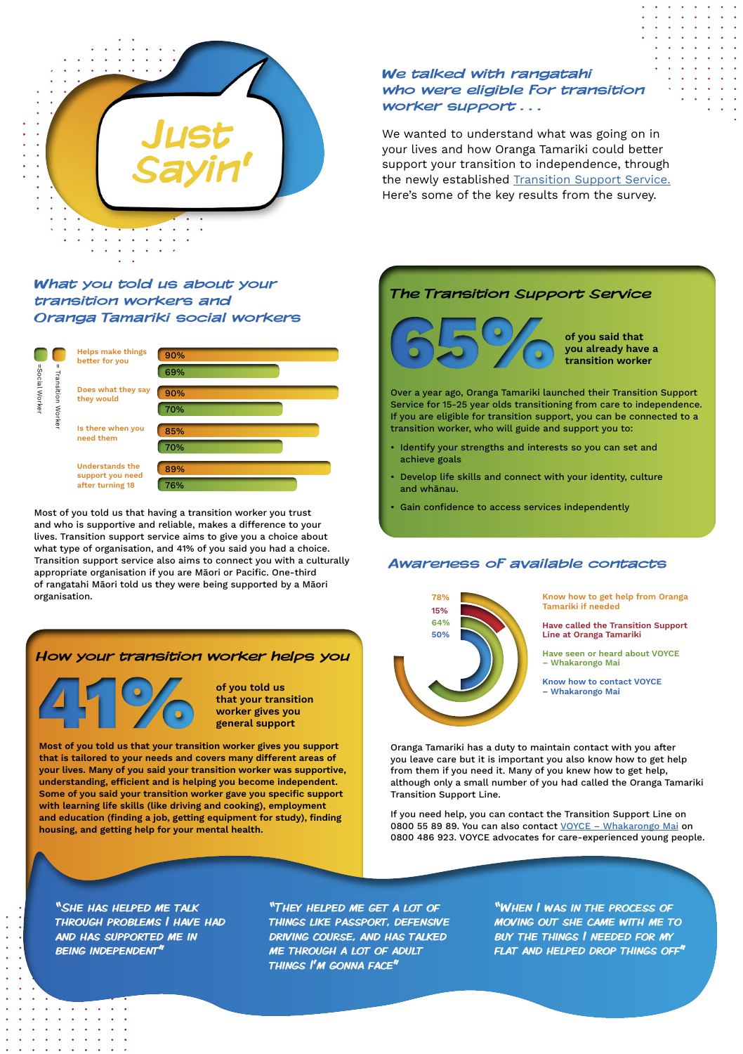We talked with rangatahi who were eligible for transition worker support . . .

We wanted to understand what was going on in your lives and how Oranga Tamariki could better support your transition to independence, through the newly established [Transition Support Service.](https://www.orangatamariki.govt.nz/children-in-our-care/transition-support-service/) Here's some of the key results from the survey.



## What you told us about your transition workers and Oranga Tamariki social workers

# Awareness of available contacts

## How your transition worker helps you



Most of you told us that having a transition worker you trust and who is supportive and reliable, makes a difference to your lives. Transition support service aims to give you a choice about what type of organisation, and 41% of you said you had a choice. Transition support service also aims to connect you with a culturally appropriate organisation if you are Māori or Pacific. One-third of rangatahi Māori told us they were being supported by a Māori organisation.

Most of you told us that your transition worker gives you support that is tailored to your needs and covers many different areas of

your lives. Many of you said your transition worker was supportive, understanding, efficient and is helping you become independent. Some of you said your transition worker gave you specific support with learning life skills (like driving and cooking), employment and education (finding a job, getting equipment for study), finding housing, and getting help for your mental health.

of you told us that your transition worker gives you general support

"She has helped me talk through problems I have had and has supported me in being independent"

"They helped me get a lot of things like passport, defensive driving course, and has talked me through a lot of adult things I'm gonna face"

"When I was in the process of moving out she came with me to buy the things I needed for my flat and helped drop things off"

Oranga Tamariki has a duty to maintain contact with you after you leave care but it is important you also know how to get help

from them if you need it. Many of you knew how to get help, although only a small number of you had called the Oranga Tamariki Transition Support Line.

If you need help, you can contact the Transition Support Line on 0800 55 89 89. You can also contact VOYCE - Whakarongo Mai on 0800 486 923. VOYCE advocates for care-experienced young people.

## The Transition Support Service



Over a year ago, Oranga Tamariki launched their Transition Support Service for 15-25 year olds transitioning from care to independence. If you are eligible for transition support, you can be connected to a transition worker, who will guide and support you to:

- Identify your strengths and interests so you can set and achieve goals
- Develop life skills and connect with your identity, culture and whānau.
- Gain confidence to access services independently

of you said that you already have a





Know how to get help from Oranga Tamariki if needed

Have called the Transition Support Line at Oranga Tamariki

Have seen or heard about VOYCE – Whakarongo Mai

Know how to contact VOYCE – Whakarongo Mai